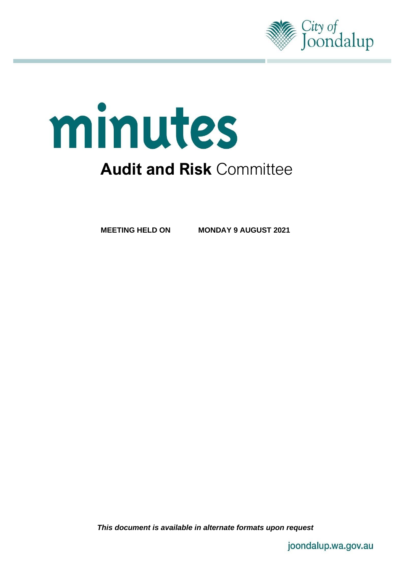

# minutes **Audit and Risk** Committee

**MEETING HELD ON MONDAY 9 AUGUST 2021**

*This document is available in alternate formats upon request*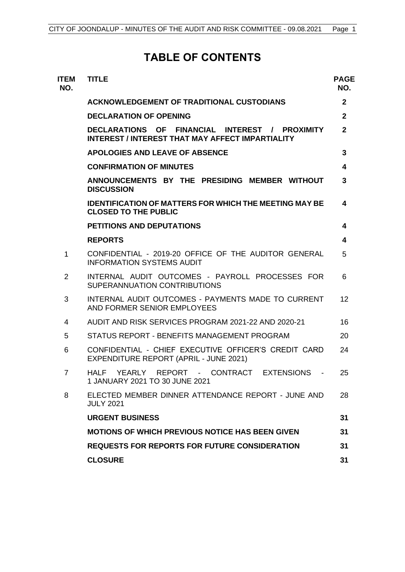# **TABLE OF CONTENTS**

| <b>ITEM</b><br>NO. | <b>TITLE</b>                                                                                       | <b>PAGE</b><br>NO. |
|--------------------|----------------------------------------------------------------------------------------------------|--------------------|
|                    | <b>ACKNOWLEDGEMENT OF TRADITIONAL CUSTODIANS</b>                                                   | $\mathbf{2}$       |
|                    | <b>DECLARATION OF OPENING</b>                                                                      | $\overline{2}$     |
|                    | DECLARATIONS OF FINANCIAL INTEREST / PROXIMITY<br>INTEREST / INTEREST THAT MAY AFFECT IMPARTIALITY | $\overline{2}$     |
|                    | <b>APOLOGIES AND LEAVE OF ABSENCE</b>                                                              | 3                  |
|                    | <b>CONFIRMATION OF MINUTES</b>                                                                     | 4                  |
|                    | ANNOUNCEMENTS BY THE PRESIDING MEMBER WITHOUT<br><b>DISCUSSION</b>                                 | 3                  |
|                    | <b>IDENTIFICATION OF MATTERS FOR WHICH THE MEETING MAY BE</b><br><b>CLOSED TO THE PUBLIC</b>       | 4                  |
|                    | <b>PETITIONS AND DEPUTATIONS</b>                                                                   | 4                  |
|                    | <b>REPORTS</b>                                                                                     | 4                  |
| 1                  | CONFIDENTIAL - 2019-20 OFFICE OF THE AUDITOR GENERAL<br><b>INFORMATION SYSTEMS AUDIT</b>           | 5                  |
| 2                  | INTERNAL AUDIT OUTCOMES - PAYROLL PROCESSES FOR<br>SUPERANNUATION CONTRIBUTIONS                    | 6                  |
| 3                  | INTERNAL AUDIT OUTCOMES - PAYMENTS MADE TO CURRENT<br>AND FORMER SENIOR EMPLOYEES                  | 12                 |
| 4                  | AUDIT AND RISK SERVICES PROGRAM 2021-22 AND 2020-21                                                | 16                 |
| 5                  | STATUS REPORT - BENEFITS MANAGEMENT PROGRAM                                                        | 20                 |
| 6                  | CONFIDENTIAL - CHIEF EXECUTIVE OFFICER'S CREDIT CARD<br>EXPENDITURE REPORT (APRIL - JUNE 2021)     | 24                 |
| $\overline{7}$     | YEARLY REPORT - CONTRACT EXTENSIONS -<br>HALF<br>1 JANUARY 2021 TO 30 JUNE 2021                    | 25                 |
| 8                  | ELECTED MEMBER DINNER ATTENDANCE REPORT - JUNE AND<br><b>JULY 2021</b>                             | 28                 |
|                    | <b>URGENT BUSINESS</b>                                                                             | 31                 |
|                    | <b>MOTIONS OF WHICH PREVIOUS NOTICE HAS BEEN GIVEN</b>                                             | 31                 |
|                    | <b>REQUESTS FOR REPORTS FOR FUTURE CONSIDERATION</b>                                               | 31                 |
|                    | <b>CLOSURE</b>                                                                                     | 31                 |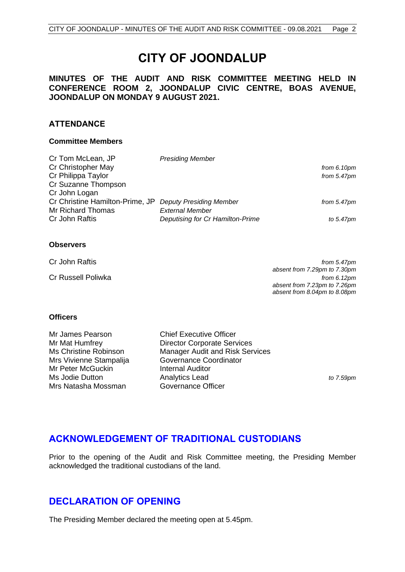# **CITY OF JOONDALUP**

## <span id="page-2-2"></span>**MINUTES OF THE AUDIT AND RISK COMMITTEE MEETING HELD IN CONFERENCE ROOM 2, JOONDALUP CIVIC CENTRE, BOAS AVENUE, JOONDALUP ON MONDAY 9 AUGUST 2021.**

### **ATTENDANCE**

#### **Committee Members**

| <b>Presiding Member</b>                                 |                |
|---------------------------------------------------------|----------------|
|                                                         | from $6.10pm$  |
|                                                         | from $5.47$ pm |
|                                                         |                |
|                                                         |                |
| Cr Christine Hamilton-Prime, JP Deputy Presiding Member | from $5.47$ pm |
| <b>External Member</b>                                  |                |
| Deputising for Cr Hamilton-Prime                        | to 5.47pm      |
|                                                         |                |

#### **Observers**

| Cr John Raftis     | from 5.47pm                  |
|--------------------|------------------------------|
|                    | absent from 7.29pm to 7.30pm |
| Cr Russell Poliwka | from $6.12pm$                |
|                    | absent from 7.23pm to 7.26pm |
|                    | absent from 8.04pm to 8.08pm |

#### **Officers**

| Mr James Pearson        |
|-------------------------|
| Mr Mat Humfrey          |
| Ms Christine Robinson   |
| Mrs Vivienne Stampalija |
| Mr Peter McGuckin       |
| Ms Jodie Dutton         |
| Mrs Natasha Mossman     |
|                         |

**Chief Executive Officer** Director Corporate Services Manager Audit and Risk Services Governance Coordinator **Internal Auditor** Analytics Lead **the Analytics Lead the Analytics Lead** *to 7.59pm* Governance Officer

# <span id="page-2-0"></span>**ACKNOWLEDGEMENT OF TRADITIONAL CUSTODIANS**

Prior to the opening of the Audit and Risk Committee meeting, the Presiding Member acknowledged the traditional custodians of the land.

# <span id="page-2-1"></span>**DECLARATION OF OPENING**

The Presiding Member declared the meeting open at 5.45pm.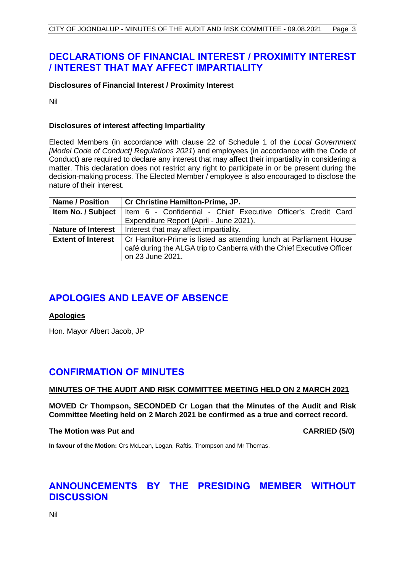# **DECLARATIONS OF FINANCIAL INTEREST / PROXIMITY INTEREST / INTEREST THAT MAY AFFECT IMPARTIALITY**

### **Disclosures of Financial Interest / Proximity Interest**

Nil

#### **Disclosures of interest affecting Impartiality**

Elected Members (in accordance with clause 22 of Schedule 1 of the *Local Government [Model Code of Conduct] Regulations 2021*) and employees (in accordance with the Code of Conduct) are required to declare any interest that may affect their impartiality in considering a matter. This declaration does not restrict any right to participate in or be present during the decision-making process. The Elected Member / employee is also encouraged to disclose the nature of their interest.

| <b>Name / Position</b>    | Cr Christine Hamilton-Prime, JP.                                       |
|---------------------------|------------------------------------------------------------------------|
| Item No. / Subject        | Item 6 - Confidential - Chief Executive Officer's Credit Card          |
|                           | Expenditure Report (April - June 2021).                                |
| <b>Nature of Interest</b> | Interest that may affect impartiality.                                 |
| <b>Extent of Interest</b> | Cr Hamilton-Prime is listed as attending lunch at Parliament House     |
|                           | café during the ALGA trip to Canberra with the Chief Executive Officer |
|                           | on 23 June 2021.                                                       |

# <span id="page-3-0"></span>**APOLOGIES AND LEAVE OF ABSENCE**

#### **Apologies**

Hon. Mayor Albert Jacob, JP

# **CONFIRMATION OF MINUTES**

#### **MINUTES OF THE AUDIT AND RISK COMMITTEE MEETING HELD ON 2 MARCH 2021**

**MOVED Cr Thompson, SECONDED Cr Logan that the Minutes of the Audit and Risk Committee Meeting held on 2 March 2021 be confirmed as a true and correct record.**

#### **The Motion was Put and CARRIED (5/0)**

**In favour of the Motion:** Crs McLean, Logan, Raftis, Thompson and Mr Thomas.

# <span id="page-3-1"></span>**ANNOUNCEMENTS BY THE PRESIDING MEMBER WITHOUT DISCUSSION**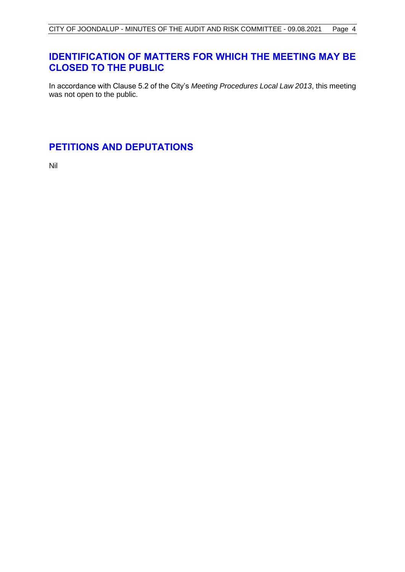# <span id="page-4-1"></span>**IDENTIFICATION OF MATTERS FOR WHICH THE MEETING MAY BE CLOSED TO THE PUBLIC**

In accordance with Clause 5.2 of the City's *Meeting Procedures Local Law 2013*, this meeting was not open to the public.

# <span id="page-4-2"></span>**PETITIONS AND DEPUTATIONS**

<span id="page-4-0"></span>Nil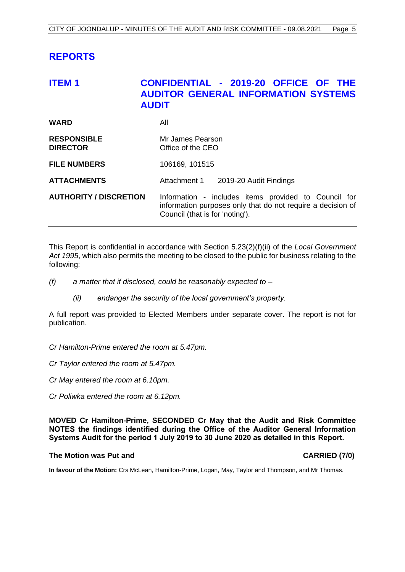# **REPORTS**

# <span id="page-5-0"></span>**ITEM 1 CONFIDENTIAL - 2019-20 OFFICE OF THE AUDITOR GENERAL INFORMATION SYSTEMS AUDIT**

| <b>WARD</b>                           | All                                                                                                                                                    |
|---------------------------------------|--------------------------------------------------------------------------------------------------------------------------------------------------------|
| <b>RESPONSIBLE</b><br><b>DIRECTOR</b> | Mr James Pearson<br>Office of the CEO                                                                                                                  |
| <b>FILE NUMBERS</b>                   | 106169, 101515                                                                                                                                         |
| <b>ATTACHMENTS</b>                    | Attachment 1 2019-20 Audit Findings                                                                                                                    |
| <b>AUTHORITY / DISCRETION</b>         | Information - includes items provided to Council for<br>information purposes only that do not require a decision of<br>Council (that is for 'noting'). |

This Report is confidential in accordance with Section 5.23(2)(f)(ii) of the *Local Government Act 1995*, which also permits the meeting to be closed to the public for business relating to the following:

- *(f) a matter that if disclosed, could be reasonably expected to –*
	- *(ii) endanger the security of the local government's property.*

A full report was provided to Elected Members under separate cover. The report is not for publication.

- *Cr Hamilton-Prime entered the room at 5.47pm.*
- *Cr Taylor entered the room at 5.47pm.*
- *Cr May entered the room at 6.10pm.*
- *Cr Poliwka entered the room at 6.12pm.*

**MOVED Cr Hamilton-Prime, SECONDED Cr May that the Audit and Risk Committee NOTES the findings identified during the Office of the Auditor General Information Systems Audit for the period 1 July 2019 to 30 June 2020 as detailed in this Report.**

#### **The Motion was Put and CARRIED (7/0)**

**In favour of the Motion:** Crs McLean, Hamilton-Prime, Logan, May, Taylor and Thompson, and Mr Thomas.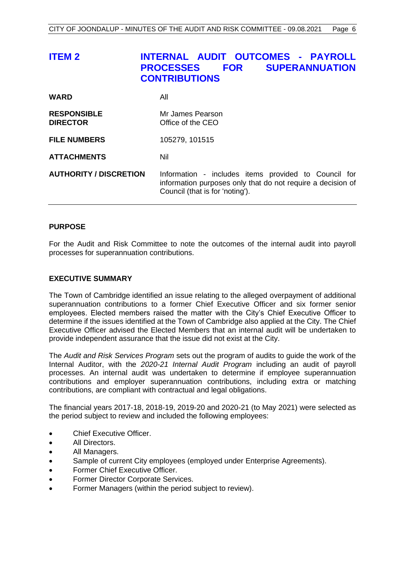<span id="page-6-0"></span>

| <b>ITEM 2</b>                         | INTERNAL AUDIT OUTCOMES - PAYROLL<br><b>SUPERANNUATION</b><br><b>PROCESSES</b><br><b>FOR</b><br><b>CONTRIBUTIONS</b>                                   |
|---------------------------------------|--------------------------------------------------------------------------------------------------------------------------------------------------------|
| <b>WARD</b>                           | All                                                                                                                                                    |
| <b>RESPONSIBLE</b><br><b>DIRECTOR</b> | Mr James Pearson<br>Office of the CEO                                                                                                                  |
| <b>FILE NUMBERS</b>                   | 105279, 101515                                                                                                                                         |
| <b>ATTACHMENTS</b>                    | Nil                                                                                                                                                    |
| <b>AUTHORITY / DISCRETION</b>         | Information - includes items provided to Council for<br>information purposes only that do not require a decision of<br>Council (that is for 'noting'). |

#### **PURPOSE**

For the Audit and Risk Committee to note the outcomes of the internal audit into payroll processes for superannuation contributions.

#### **EXECUTIVE SUMMARY**

The Town of Cambridge identified an issue relating to the alleged overpayment of additional superannuation contributions to a former Chief Executive Officer and six former senior employees. Elected members raised the matter with the City's Chief Executive Officer to determine if the issues identified at the Town of Cambridge also applied at the City. The Chief Executive Officer advised the Elected Members that an internal audit will be undertaken to provide independent assurance that the issue did not exist at the City.

The *Audit and Risk Services Program* sets out the program of audits to guide the work of the Internal Auditor, with the *2020-21 Internal Audit Program* including an audit of payroll processes. An internal audit was undertaken to determine if employee superannuation contributions and employer superannuation contributions, including extra or matching contributions, are compliant with contractual and legal obligations.

The financial years 2017-18, 2018-19, 2019-20 and 2020-21 (to May 2021) were selected as the period subject to review and included the following employees:

- Chief Executive Officer.
- All Directors.
- All Managers.
- Sample of current City employees (employed under Enterprise Agreements).
- Former Chief Executive Officer.
- Former Director Corporate Services.
- Former Managers (within the period subject to review).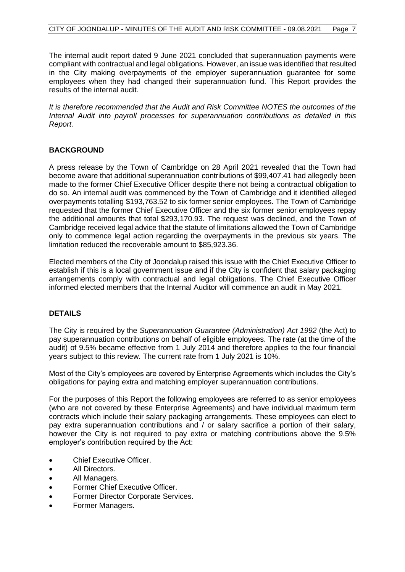The internal audit report dated 9 June 2021 concluded that superannuation payments were compliant with contractual and legal obligations. However, an issue was identified that resulted in the City making overpayments of the employer superannuation guarantee for some employees when they had changed their superannuation fund. This Report provides the results of the internal audit.

*It is therefore recommended that the Audit and Risk Committee NOTES the outcomes of the Internal Audit into payroll processes for superannuation contributions as detailed in this Report.*

#### **BACKGROUND**

A press release by the Town of Cambridge on 28 April 2021 revealed that the Town had become aware that additional superannuation contributions of \$99,407.41 had allegedly been made to the former Chief Executive Officer despite there not being a contractual obligation to do so. An internal audit was commenced by the Town of Cambridge and it identified alleged overpayments totalling \$193,763.52 to six former senior employees. The Town of Cambridge requested that the former Chief Executive Officer and the six former senior employees repay the additional amounts that total \$293,170.93. The request was declined, and the Town of Cambridge received legal advice that the statute of limitations allowed the Town of Cambridge only to commence legal action regarding the overpayments in the previous six years. The limitation reduced the recoverable amount to \$85,923.36.

Elected members of the City of Joondalup raised this issue with the Chief Executive Officer to establish if this is a local government issue and if the City is confident that salary packaging arrangements comply with contractual and legal obligations. The Chief Executive Officer informed elected members that the Internal Auditor will commence an audit in May 2021.

#### **DETAILS**

The City is required by the *Superannuation Guarantee (Administration) Act 1992* (the Act) to pay superannuation contributions on behalf of eligible employees. The rate (at the time of the audit) of 9.5% became effective from 1 July 2014 and therefore applies to the four financial years subject to this review. The current rate from 1 July 2021 is 10%.

Most of the City's employees are covered by Enterprise Agreements which includes the City's obligations for paying extra and matching employer superannuation contributions.

For the purposes of this Report the following employees are referred to as senior employees (who are not covered by these Enterprise Agreements) and have individual maximum term contracts which include their salary packaging arrangements. These employees can elect to pay extra superannuation contributions and / or salary sacrifice a portion of their salary, however the City is not required to pay extra or matching contributions above the 9.5% employer's contribution required by the Act:

- Chief Executive Officer.
- All Directors.
- All Managers.
- Former Chief Executive Officer.
- Former Director Corporate Services.
- Former Managers.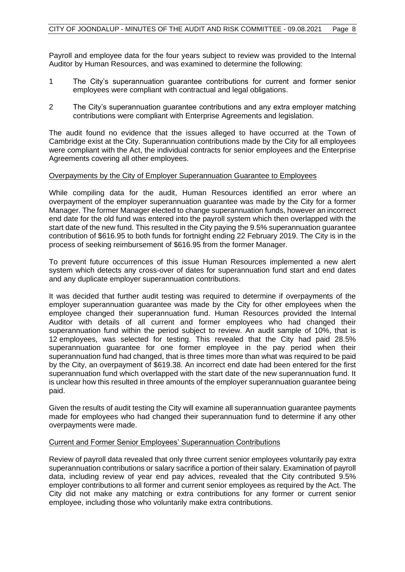Payroll and employee data for the four years subject to review was provided to the Internal Auditor by Human Resources, and was examined to determine the following:

- 1 The City's superannuation guarantee contributions for current and former senior employees were compliant with contractual and legal obligations.
- 2 The City's superannuation guarantee contributions and any extra employer matching contributions were compliant with Enterprise Agreements and legislation.

The audit found no evidence that the issues alleged to have occurred at the Town of Cambridge exist at the City. Superannuation contributions made by the City for all employees were compliant with the Act, the individual contracts for senior employees and the Enterprise Agreements covering all other employees.

#### Overpayments by the City of Employer Superannuation Guarantee to Employees

While compiling data for the audit, Human Resources identified an error where an overpayment of the employer superannuation guarantee was made by the City for a former Manager. The former Manager elected to change superannuation funds, however an incorrect end date for the old fund was entered into the payroll system which then overlapped with the start date of the new fund. This resulted in the City paying the 9.5% superannuation guarantee contribution of \$616.95 to both funds for fortnight ending 22 February 2019. The City is in the process of seeking reimbursement of \$616.95 from the former Manager.

To prevent future occurrences of this issue Human Resources implemented a new alert system which detects any cross-over of dates for superannuation fund start and end dates and any duplicate employer superannuation contributions.

It was decided that further audit testing was required to determine if overpayments of the employer superannuation guarantee was made by the City for other employees when the employee changed their superannuation fund. Human Resources provided the Internal Auditor with details of all current and former employees who had changed their superannuation fund within the period subject to review. An audit sample of 10%, that is 12 employees, was selected for testing. This revealed that the City had paid 28.5% superannuation guarantee for one former employee in the pay period when their superannuation fund had changed, that is three times more than what was required to be paid by the City, an overpayment of \$619.38. An incorrect end date had been entered for the first superannuation fund which overlapped with the start date of the new superannuation fund. It is unclear how this resulted in three amounts of the employer superannuation guarantee being paid.

Given the results of audit testing the City will examine all superannuation guarantee payments made for employees who had changed their superannuation fund to determine if any other overpayments were made.

#### Current and Former Senior Employees' Superannuation Contributions

Review of payroll data revealed that only three current senior employees voluntarily pay extra superannuation contributions or salary sacrifice a portion of their salary. Examination of payroll data, including review of year end pay advices, revealed that the City contributed 9.5% employer contributions to all former and current senior employees as required by the Act. The City did not make any matching or extra contributions for any former or current senior employee, including those who voluntarily make extra contributions.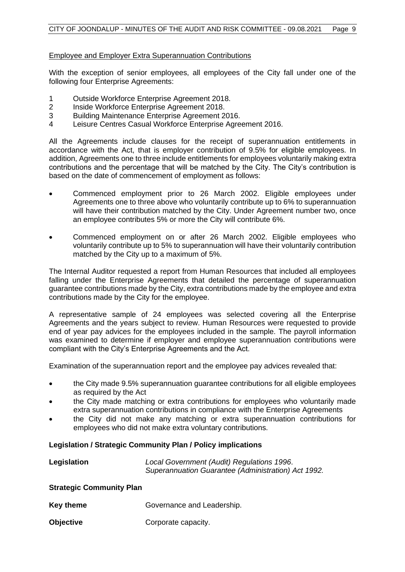#### Employee and Employer Extra Superannuation Contributions

With the exception of senior employees, all employees of the City fall under one of the following four Enterprise Agreements:

- 1 Outside Workforce Enterprise Agreement 2018.
- 2 Inside Workforce Enterprise Agreement 2018.
- 3 Building Maintenance Enterprise Agreement 2016.
- 4 Leisure Centres Casual Workforce Enterprise Agreement 2016.

All the Agreements include clauses for the receipt of superannuation entitlements in accordance with the Act, that is employer contribution of 9.5% for eligible employees. In addition, Agreements one to three include entitlements for employees voluntarily making extra contributions and the percentage that will be matched by the City. The City's contribution is based on the date of commencement of employment as follows:

- Commenced employment prior to 26 March 2002. Eligible employees under Agreements one to three above who voluntarily contribute up to 6% to superannuation will have their contribution matched by the City. Under Agreement number two, once an employee contributes 5% or more the City will contribute 6%.
- Commenced employment on or after 26 March 2002. Eligible employees who voluntarily contribute up to 5% to superannuation will have their voluntarily contribution matched by the City up to a maximum of 5%.

The Internal Auditor requested a report from Human Resources that included all employees falling under the Enterprise Agreements that detailed the percentage of superannuation guarantee contributions made by the City, extra contributions made by the employee and extra contributions made by the City for the employee.

A representative sample of 24 employees was selected covering all the Enterprise Agreements and the years subject to review. Human Resources were requested to provide end of year pay advices for the employees included in the sample. The payroll information was examined to determine if employer and employee superannuation contributions were compliant with the City's Enterprise Agreements and the Act.

Examination of the superannuation report and the employee pay advices revealed that:

- the City made 9.5% superannuation guarantee contributions for all eligible employees as required by the Act
- the City made matching or extra contributions for employees who voluntarily made extra superannuation contributions in compliance with the Enterprise Agreements
- the City did not make any matching or extra superannuation contributions for employees who did not make extra voluntary contributions.

#### **Legislation / Strategic Community Plan / Policy implications**

**Legislation** *Local Government (Audit) Regulations 1996*. *Superannuation Guarantee (Administration) Act 1992.*

#### **Strategic Community Plan**

| Key theme | Governance and Leadership. |  |
|-----------|----------------------------|--|
|           |                            |  |

**Objective Corporate capacity.**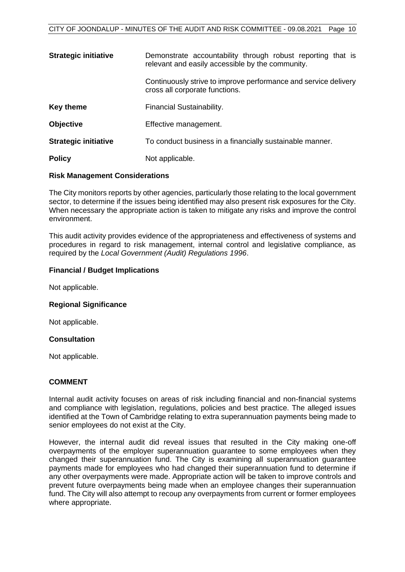| <b>Strategic initiative</b> | Demonstrate accountability through robust reporting that is<br>relevant and easily accessible by the community. |
|-----------------------------|-----------------------------------------------------------------------------------------------------------------|
|                             | Continuously strive to improve performance and service delivery<br>cross all corporate functions.               |
| Key theme                   | Financial Sustainability.                                                                                       |
| <b>Objective</b>            | Effective management.                                                                                           |
| <b>Strategic initiative</b> | To conduct business in a financially sustainable manner.                                                        |
| <b>Policy</b>               | Not applicable.                                                                                                 |

#### **Risk Management Considerations**

The City monitors reports by other agencies, particularly those relating to the local government sector, to determine if the issues being identified may also present risk exposures for the City. When necessary the appropriate action is taken to mitigate any risks and improve the control environment.

This audit activity provides evidence of the appropriateness and effectiveness of systems and procedures in regard to risk management, internal control and legislative compliance, as required by the *Local Government (Audit) Regulations 1996*.

#### **Financial / Budget Implications**

Not applicable.

#### **Regional Significance**

Not applicable.

#### **Consultation**

Not applicable.

#### **COMMENT**

Internal audit activity focuses on areas of risk including financial and non-financial systems and compliance with legislation, regulations, policies and best practice. The alleged issues identified at the Town of Cambridge relating to extra superannuation payments being made to senior employees do not exist at the City.

However, the internal audit did reveal issues that resulted in the City making one-off overpayments of the employer superannuation guarantee to some employees when they changed their superannuation fund. The City is examining all superannuation guarantee payments made for employees who had changed their superannuation fund to determine if any other overpayments were made. Appropriate action will be taken to improve controls and prevent future overpayments being made when an employee changes their superannuation fund. The City will also attempt to recoup any overpayments from current or former employees where appropriate.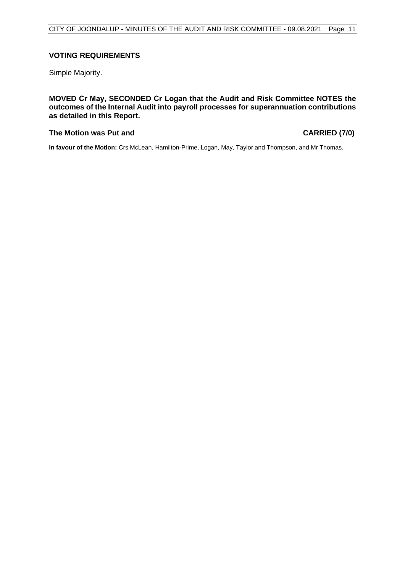#### **VOTING REQUIREMENTS**

Simple Majority.

**MOVED Cr May, SECONDED Cr Logan that the Audit and Risk Committee NOTES the outcomes of the Internal Audit into payroll processes for superannuation contributions as detailed in this Report.**

#### **The Motion was Put and CARRIED (7/0)**

**In favour of the Motion:** Crs McLean, Hamilton-Prime, Logan, May, Taylor and Thompson, and Mr Thomas.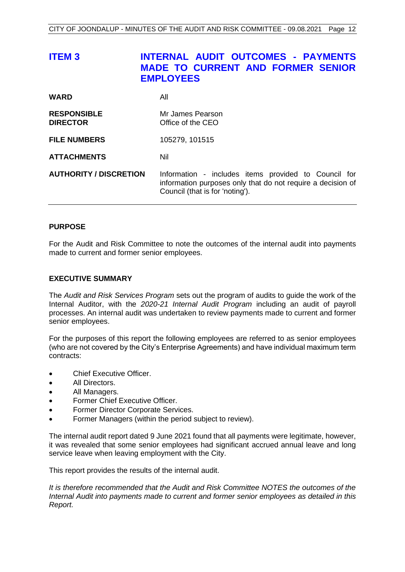<span id="page-12-0"></span>

| <b>ITEM3</b>                          | <b>INTERNAL AUDIT OUTCOMES - PAYMENTS</b><br><b>MADE TO CURRENT AND FORMER SENIOR</b><br><b>EMPLOYEES</b>                                              |
|---------------------------------------|--------------------------------------------------------------------------------------------------------------------------------------------------------|
| WARD                                  | All                                                                                                                                                    |
| <b>RESPONSIBLE</b><br><b>DIRECTOR</b> | Mr James Pearson<br>Office of the CEO                                                                                                                  |
| <b>FILE NUMBERS</b>                   | 105279, 101515                                                                                                                                         |
| <b>ATTACHMENTS</b>                    | Nil                                                                                                                                                    |
| <b>AUTHORITY / DISCRETION</b>         | Information - includes items provided to Council for<br>information purposes only that do not require a decision of<br>Council (that is for 'noting'). |

#### **PURPOSE**

For the Audit and Risk Committee to note the outcomes of the internal audit into payments made to current and former senior employees.

#### **EXECUTIVE SUMMARY**

The *Audit and Risk Services Program* sets out the program of audits to guide the work of the Internal Auditor, with the *2020-21 Internal Audit Program* including an audit of payroll processes. An internal audit was undertaken to review payments made to current and former senior employees.

For the purposes of this report the following employees are referred to as senior employees (who are not covered by the City's Enterprise Agreements) and have individual maximum term contracts:

- Chief Executive Officer.
- All Directors.
- All Managers.
- Former Chief Executive Officer.
- Former Director Corporate Services.
- Former Managers (within the period subject to review).

The internal audit report dated 9 June 2021 found that all payments were legitimate, however, it was revealed that some senior employees had significant accrued annual leave and long service leave when leaving employment with the City.

This report provides the results of the internal audit.

*It is therefore recommended that the Audit and Risk Committee NOTES the outcomes of the Internal Audit into payments made to current and former senior employees as detailed in this Report.*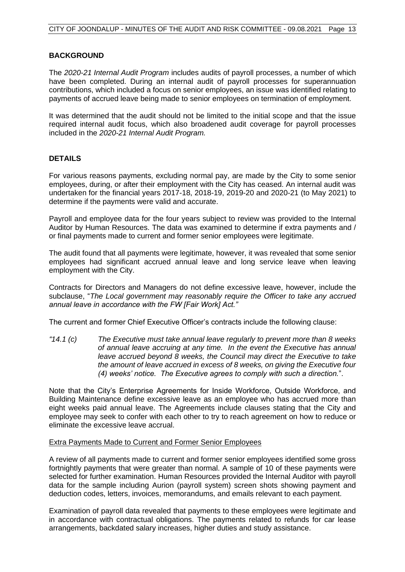#### **BACKGROUND**

The *2020-21 Internal Audit Program* includes audits of payroll processes, a number of which have been completed. During an internal audit of payroll processes for superannuation contributions, which included a focus on senior employees, an issue was identified relating to payments of accrued leave being made to senior employees on termination of employment.

It was determined that the audit should not be limited to the initial scope and that the issue required internal audit focus, which also broadened audit coverage for payroll processes included in the *2020-21 Internal Audit Program.*

#### **DETAILS**

For various reasons payments, excluding normal pay, are made by the City to some senior employees, during, or after their employment with the City has ceased. An internal audit was undertaken for the financial years 2017-18, 2018-19, 2019-20 and 2020-21 (to May 2021) to determine if the payments were valid and accurate.

Payroll and employee data for the four years subject to review was provided to the Internal Auditor by Human Resources. The data was examined to determine if extra payments and / or final payments made to current and former senior employees were legitimate.

The audit found that all payments were legitimate, however, it was revealed that some senior employees had significant accrued annual leave and long service leave when leaving employment with the City.

Contracts for Directors and Managers do not define excessive leave, however, include the subclause, "*The Local government may reasonably require the Officer to take any accrued annual leave in accordance with the FW [Fair Work] Act."*

The current and former Chief Executive Officer's contracts include the following clause:

*"14.1 (c) The Executive must take annual leave regularly to prevent more than 8 weeks of annual leave accruing at any time. In the event the Executive has annual leave accrued beyond 8 weeks, the Council may direct the Executive to take the amount of leave accrued in excess of 8 weeks, on giving the Executive four (4) weeks' notice. The Executive agrees to comply with such a direction.*".

Note that the City's Enterprise Agreements for Inside Workforce, Outside Workforce, and Building Maintenance define excessive leave as an employee who has accrued more than eight weeks paid annual leave. The Agreements include clauses stating that the City and employee may seek to confer with each other to try to reach agreement on how to reduce or eliminate the excessive leave accrual.

#### Extra Payments Made to Current and Former Senior Employees

A review of all payments made to current and former senior employees identified some gross fortnightly payments that were greater than normal. A sample of 10 of these payments were selected for further examination. Human Resources provided the Internal Auditor with payroll data for the sample including Aurion (payroll system) screen shots showing payment and deduction codes, letters, invoices, memorandums, and emails relevant to each payment.

Examination of payroll data revealed that payments to these employees were legitimate and in accordance with contractual obligations. The payments related to refunds for car lease arrangements, backdated salary increases, higher duties and study assistance.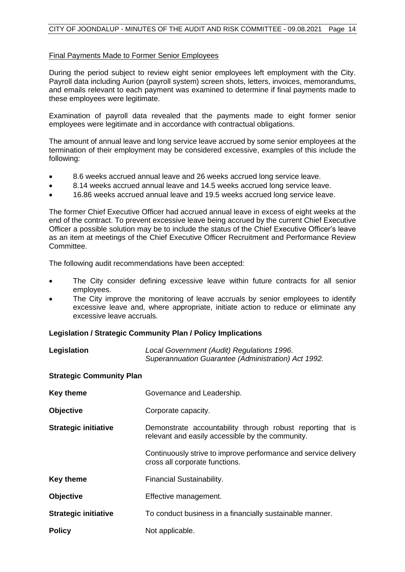#### Final Payments Made to Former Senior Employees

During the period subject to review eight senior employees left employment with the City. Payroll data including Aurion (payroll system) screen shots, letters, invoices, memorandums, and emails relevant to each payment was examined to determine if final payments made to these employees were legitimate.

Examination of payroll data revealed that the payments made to eight former senior employees were legitimate and in accordance with contractual obligations.

The amount of annual leave and long service leave accrued by some senior employees at the termination of their employment may be considered excessive, examples of this include the following:

- 8.6 weeks accrued annual leave and 26 weeks accrued long service leave.
- 8.14 weeks accrued annual leave and 14.5 weeks accrued long service leave.
- 16.86 weeks accrued annual leave and 19.5 weeks accrued long service leave.

The former Chief Executive Officer had accrued annual leave in excess of eight weeks at the end of the contract. To prevent excessive leave being accrued by the current Chief Executive Officer a possible solution may be to include the status of the Chief Executive Officer's leave as an item at meetings of the Chief Executive Officer Recruitment and Performance Review Committee.

The following audit recommendations have been accepted:

- The City consider defining excessive leave within future contracts for all senior employees.
- The City improve the monitoring of leave accruals by senior employees to identify excessive leave and, where appropriate, initiate action to reduce or eliminate any excessive leave accruals.

#### **Legislation / Strategic Community Plan / Policy Implications**

| Legislation                      | Local Government (Audit) Regulations 1996.<br>Superannuation Guarantee (Administration) Act 1992. |
|----------------------------------|---------------------------------------------------------------------------------------------------|
| $P$ trata ala $P$ aramusitu Dlan |                                                                                                   |

#### **Strategic Community Plan**

| <b>Key theme</b>            | Governance and Leadership.                                                                                      |
|-----------------------------|-----------------------------------------------------------------------------------------------------------------|
| <b>Objective</b>            | Corporate capacity.                                                                                             |
| <b>Strategic initiative</b> | Demonstrate accountability through robust reporting that is<br>relevant and easily accessible by the community. |
|                             | Continuously strive to improve performance and service delivery<br>cross all corporate functions.               |
| <b>Key theme</b>            | Financial Sustainability.                                                                                       |
| <b>Objective</b>            | Effective management.                                                                                           |
| <b>Strategic initiative</b> | To conduct business in a financially sustainable manner.                                                        |
| <b>Policy</b>               | Not applicable.                                                                                                 |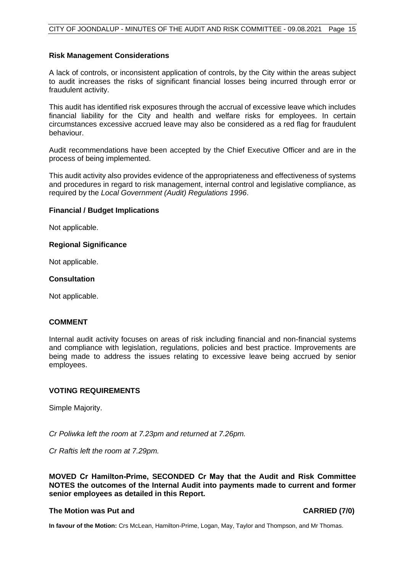#### **Risk Management Considerations**

A lack of controls, or inconsistent application of controls, by the City within the areas subject to audit increases the risks of significant financial losses being incurred through error or fraudulent activity.

This audit has identified risk exposures through the accrual of excessive leave which includes financial liability for the City and health and welfare risks for employees. In certain circumstances excessive accrued leave may also be considered as a red flag for fraudulent behaviour.

Audit recommendations have been accepted by the Chief Executive Officer and are in the process of being implemented.

This audit activity also provides evidence of the appropriateness and effectiveness of systems and procedures in regard to risk management, internal control and legislative compliance, as required by the *Local Government (Audit) Regulations 1996*.

#### **Financial / Budget Implications**

Not applicable.

#### **Regional Significance**

Not applicable.

#### **Consultation**

Not applicable.

#### **COMMENT**

Internal audit activity focuses on areas of risk including financial and non-financial systems and compliance with legislation, regulations, policies and best practice. Improvements are being made to address the issues relating to excessive leave being accrued by senior employees.

#### **VOTING REQUIREMENTS**

Simple Majority.

*Cr Poliwka left the room at 7.23pm and returned at 7.26pm.*

*Cr Raftis left the room at 7.29pm.*

**MOVED Cr Hamilton-Prime, SECONDED Cr May that the Audit and Risk Committee NOTES the outcomes of the Internal Audit into payments made to current and former senior employees as detailed in this Report.**

#### **The Motion was Put and CARRIED (7/0)**

**In favour of the Motion:** Crs McLean, Hamilton-Prime, Logan, May, Taylor and Thompson, and Mr Thomas.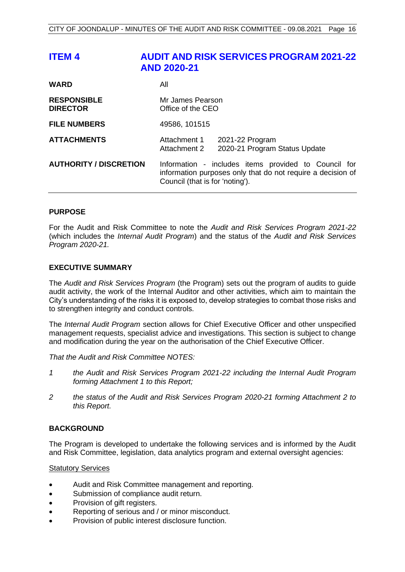<span id="page-16-0"></span>

| <b>ITEM4</b>                          | <b>AUDIT AND RISK SERVICES PROGRAM 2021-22</b><br><b>AND 2020-21</b>                                                                                   |
|---------------------------------------|--------------------------------------------------------------------------------------------------------------------------------------------------------|
| <b>WARD</b>                           | All                                                                                                                                                    |
| <b>RESPONSIBLE</b><br><b>DIRECTOR</b> | Mr James Pearson<br>Office of the CEO                                                                                                                  |
| <b>FILE NUMBERS</b>                   | 49586, 101515                                                                                                                                          |
| <b>ATTACHMENTS</b>                    | Attachment 1<br>2021-22 Program<br>2020-21 Program Status Update<br>Attachment 2                                                                       |
| <b>AUTHORITY / DISCRETION</b>         | Information - includes items provided to Council for<br>information purposes only that do not require a decision of<br>Council (that is for 'noting'). |

#### **PURPOSE**

For the Audit and Risk Committee to note the *Audit and Risk Services Program 2021-22* (which includes the *Internal Audit Program*) and the status of the *Audit and Risk Services Program 2020-21.*

#### **EXECUTIVE SUMMARY**

The *Audit and Risk Services Program* (the Program) sets out the program of audits to guide audit activity, the work of the Internal Auditor and other activities, which aim to maintain the City's understanding of the risks it is exposed to, develop strategies to combat those risks and to strengthen integrity and conduct controls.

The *Internal Audit Program* section allows for Chief Executive Officer and other unspecified management requests, specialist advice and investigations. This section is subject to change and modification during the year on the authorisation of the Chief Executive Officer.

*That the Audit and Risk Committee NOTES:*

- *1 the Audit and Risk Services Program 2021-22 including the Internal Audit Program forming Attachment 1 to this Report;*
- *2 the status of the Audit and Risk Services Program 2020-21 forming Attachment 2 to this Report.*

#### **BACKGROUND**

The Program is developed to undertake the following services and is informed by the Audit and Risk Committee, legislation, data analytics program and external oversight agencies:

#### Statutory Services

- Audit and Risk Committee management and reporting.
- Submission of compliance audit return.
- Provision of gift registers.
- Reporting of serious and / or minor misconduct.
- Provision of public interest disclosure function.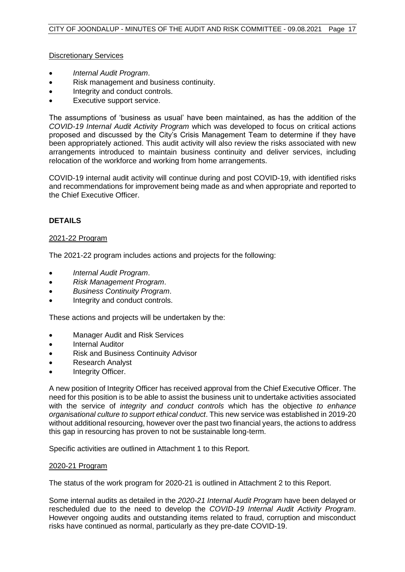Discretionary Services

- *Internal Audit Program*.
- Risk management and business continuity.
- Integrity and conduct controls.
- Executive support service.

The assumptions of 'business as usual' have been maintained, as has the addition of the *COVID-19 Internal Audit Activity Program* which was developed to focus on critical actions proposed and discussed by the City's Crisis Management Team to determine if they have been appropriately actioned. This audit activity will also review the risks associated with new arrangements introduced to maintain business continuity and deliver services, including relocation of the workforce and working from home arrangements.

COVID-19 internal audit activity will continue during and post COVID-19, with identified risks and recommendations for improvement being made as and when appropriate and reported to the Chief Executive Officer.

#### **DETAILS**

#### 2021-22 Program

The 2021-22 program includes actions and projects for the following:

- *Internal Audit Program*.
- *Risk Management Program*.
- *Business Continuity Program*.
- Integrity and conduct controls.

These actions and projects will be undertaken by the:

- Manager Audit and Risk Services
- Internal Auditor
- Risk and Business Continuity Advisor
- Research Analyst
- Integrity Officer.

A new position of Integrity Officer has received approval from the Chief Executive Officer. The need for this position is to be able to assist the business unit to undertake activities associated with the service of *integrity and conduct controls* which has the objective *to enhance organisational culture to support ethical conduct*. This new service was established in 2019-20 without additional resourcing, however over the past two financial years, the actions to address this gap in resourcing has proven to not be sustainable long-term.

Specific activities are outlined in Attachment 1 to this Report.

#### 2020-21 Program

The status of the work program for 2020-21 is outlined in Attachment 2 to this Report.

Some internal audits as detailed in the *2020-21 Internal Audit Program* have been delayed or rescheduled due to the need to develop the *COVID-19 Internal Audit Activity Program*. However ongoing audits and outstanding items related to fraud, corruption and misconduct risks have continued as normal, particularly as they pre-date COVID-19.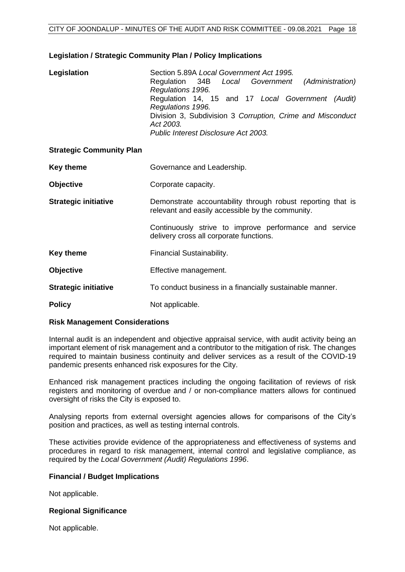#### **Legislation / Strategic Community Plan / Policy Implications**

| Legislation                     | Section 5.89A Local Government Act 1995.<br>Regulation 34B Local Government<br>(Administration)<br>Regulations 1996.<br>Regulation 14, 15 and 17 Local Government (Audit)<br>Regulations 1996.<br>Division 3, Subdivision 3 Corruption, Crime and Misconduct<br>Act 2003.<br>Public Interest Disclosure Act 2003. |  |  |
|---------------------------------|-------------------------------------------------------------------------------------------------------------------------------------------------------------------------------------------------------------------------------------------------------------------------------------------------------------------|--|--|
| <b>Strategic Community Plan</b> |                                                                                                                                                                                                                                                                                                                   |  |  |
| <b>Key theme</b>                | Governance and Leadership.                                                                                                                                                                                                                                                                                        |  |  |
| <b>Objective</b>                | Corporate capacity.                                                                                                                                                                                                                                                                                               |  |  |
| <b>Strategic initiative</b>     | Demonstrate accountability through robust reporting that is<br>relevant and easily accessible by the community.                                                                                                                                                                                                   |  |  |
|                                 | Continuously strive to improve performance and service<br>delivery cross all corporate functions.                                                                                                                                                                                                                 |  |  |
| <b>Key theme</b>                | Financial Sustainability.                                                                                                                                                                                                                                                                                         |  |  |
| <b>Objective</b>                | Effective management.                                                                                                                                                                                                                                                                                             |  |  |
| <b>Strategic initiative</b>     | To conduct business in a financially sustainable manner.                                                                                                                                                                                                                                                          |  |  |
| <b>Policy</b>                   | Not applicable.                                                                                                                                                                                                                                                                                                   |  |  |

#### **Risk Management Considerations**

Internal audit is an independent and objective appraisal service, with audit activity being an important element of risk management and a contributor to the mitigation of risk. The changes required to maintain business continuity and deliver services as a result of the COVID-19 pandemic presents enhanced risk exposures for the City.

Enhanced risk management practices including the ongoing facilitation of reviews of risk registers and monitoring of overdue and / or non-compliance matters allows for continued oversight of risks the City is exposed to.

Analysing reports from external oversight agencies allows for comparisons of the City's position and practices, as well as testing internal controls.

These activities provide evidence of the appropriateness and effectiveness of systems and procedures in regard to risk management, internal control and legislative compliance, as required by the *Local Government (Audit) Regulations 1996*.

#### **Financial / Budget Implications**

Not applicable.

#### **Regional Significance**

Not applicable.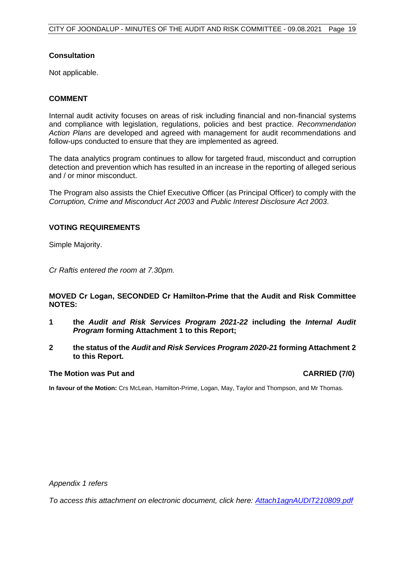#### **Consultation**

Not applicable.

#### **COMMENT**

Internal audit activity focuses on areas of risk including financial and non-financial systems and compliance with legislation, regulations, policies and best practice. *Recommendation Action Plans* are developed and agreed with management for audit recommendations and follow-ups conducted to ensure that they are implemented as agreed.

The data analytics program continues to allow for targeted fraud, misconduct and corruption detection and prevention which has resulted in an increase in the reporting of alleged serious and / or minor misconduct.

The Program also assists the Chief Executive Officer (as Principal Officer) to comply with the *Corruption, Crime and Misconduct Act 2003* and *Public Interest Disclosure Act 2003*.

#### **VOTING REQUIREMENTS**

Simple Majority.

*Cr Raftis entered the room at 7.30pm.*

#### **MOVED Cr Logan, SECONDED Cr Hamilton-Prime that the Audit and Risk Committee NOTES:**

- **1 the** *Audit and Risk Services Program 2021-22* **including the** *Internal Audit Program* **forming Attachment 1 to this Report;**
- **2 the status of the** *Audit and Risk Services Program 2020-21* **forming Attachment 2 to this Report.**

#### **The Motion was Put and CARRIED (7/0)**

**In favour of the Motion:** Crs McLean, Hamilton-Prime, Logan, May, Taylor and Thompson, and Mr Thomas.

*Appendix 1 refers*

*To access this attachment on electronic document, click here: [Attach1agnAUDIT210809.pdf](http://www.joondalup.wa.gov.au/files/committees/AURI/2021/Attach1agnAUDIT210809.pdf)*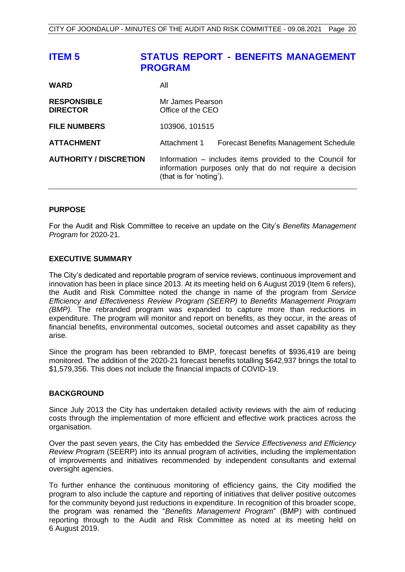<span id="page-20-0"></span>

| <b>ITEM 5</b>                         | <b>STATUS REPORT - BENEFITS MANAGEMENT</b><br><b>PROGRAM</b>                                                                                    |  |  |
|---------------------------------------|-------------------------------------------------------------------------------------------------------------------------------------------------|--|--|
| <b>WARD</b>                           | All                                                                                                                                             |  |  |
| <b>RESPONSIBLE</b><br><b>DIRECTOR</b> | Mr James Pearson<br>Office of the CEO                                                                                                           |  |  |
| <b>FILE NUMBERS</b>                   | 103906, 101515                                                                                                                                  |  |  |
| <b>ATTACHMENT</b>                     | Attachment 1<br><b>Forecast Benefits Management Schedule</b>                                                                                    |  |  |
| <b>AUTHORITY / DISCRETION</b>         | Information – includes items provided to the Council for<br>information purposes only that do not require a decision<br>(that is for 'noting'). |  |  |

#### **PURPOSE**

For the Audit and Risk Committee to receive an update on the City's *Benefits Management Program* for 2020-21.

#### **EXECUTIVE SUMMARY**

The City's dedicated and reportable program of service reviews, continuous improvement and innovation has been in place since 2013. At its meeting held on 6 August 2019 (Item 6 refers), the Audit and Risk Committee noted the change in name of the program from *Service Efficiency and Effectiveness Review Program (SEERP)* to *Benefits Management Program (BMP).* The rebranded program was expanded to capture more than reductions in expenditure. The program will monitor and report on benefits, as they occur, in the areas of financial benefits, environmental outcomes, societal outcomes and asset capability as they arise.

Since the program has been rebranded to BMP, forecast benefits of \$936,419 are being monitored. The addition of the 2020-21 forecast benefits totalling \$642,937 brings the total to \$1,579,356. This does not include the financial impacts of COVID-19.

#### **BACKGROUND**

Since July 2013 the City has undertaken detailed activity reviews with the aim of reducing costs through the implementation of more efficient and effective work practices across the organisation.

Over the past seven years, the City has embedded the *Service Effectiveness and Efficiency Review Program* (SEERP) into its annual program of activities, including the implementation of improvements and initiatives recommended by independent consultants and external oversight agencies.

To further enhance the continuous monitoring of efficiency gains, the City modified the program to also include the capture and reporting of initiatives that deliver positive outcomes for the community beyond just reductions in expenditure. In recognition of this broader scope, the program was renamed the "*Benefits Management Program*" (BMP) with continued reporting through to the Audit and Risk Committee as noted at its meeting held on 6 August 2019.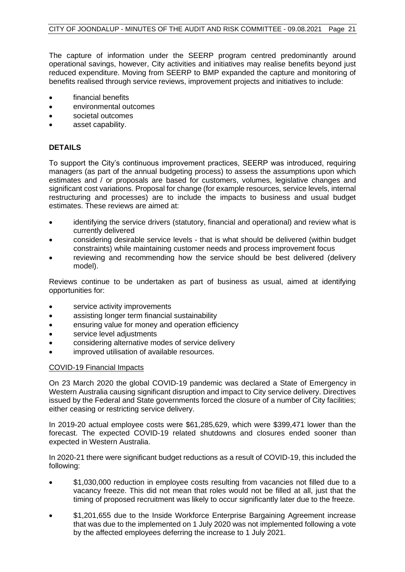The capture of information under the SEERP program centred predominantly around operational savings, however, City activities and initiatives may realise benefits beyond just reduced expenditure. Moving from SEERP to BMP expanded the capture and monitoring of benefits realised through service reviews, improvement projects and initiatives to include:

- financial benefits
- environmental outcomes
- societal outcomes
- asset capability.

## **DETAILS**

To support the City's continuous improvement practices, SEERP was introduced, requiring managers (as part of the annual budgeting process) to assess the assumptions upon which estimates and / or proposals are based for customers, volumes, legislative changes and significant cost variations. Proposal for change (for example resources, service levels, internal restructuring and processes) are to include the impacts to business and usual budget estimates. These reviews are aimed at:

- identifying the service drivers (statutory, financial and operational) and review what is currently delivered
- considering desirable service levels that is what should be delivered (within budget constraints) while maintaining customer needs and process improvement focus
- reviewing and recommending how the service should be best delivered (delivery model).

Reviews continue to be undertaken as part of business as usual, aimed at identifying opportunities for:

- service activity improvements
- assisting longer term financial sustainability
- ensuring value for money and operation efficiency
- service level adjustments
- considering alternative modes of service delivery
- improved utilisation of available resources.

#### COVID-19 Financial Impacts

On 23 March 2020 the global COVID-19 pandemic was declared a State of Emergency in Western Australia causing significant disruption and impact to City service delivery. Directives issued by the Federal and State governments forced the closure of a number of City facilities; either ceasing or restricting service delivery.

In 2019-20 actual employee costs were \$61,285,629, which were \$399,471 lower than the forecast. The expected COVID-19 related shutdowns and closures ended sooner than expected in Western Australia.

In 2020-21 there were significant budget reductions as a result of COVID-19, this included the following:

- \$1,030,000 reduction in employee costs resulting from vacancies not filled due to a vacancy freeze. This did not mean that roles would not be filled at all, just that the timing of proposed recruitment was likely to occur significantly later due to the freeze.
- \$1,201,655 due to the Inside Workforce Enterprise Bargaining Agreement increase that was due to the implemented on 1 July 2020 was not implemented following a vote by the affected employees deferring the increase to 1 July 2021.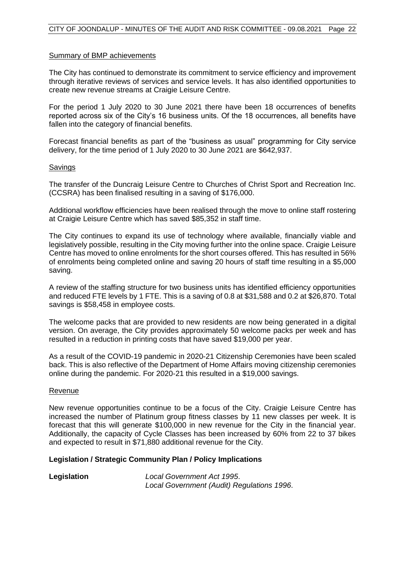#### Summary of BMP achievements

The City has continued to demonstrate its commitment to service efficiency and improvement through iterative reviews of services and service levels. It has also identified opportunities to create new revenue streams at Craigie Leisure Centre.

For the period 1 July 2020 to 30 June 2021 there have been 18 occurrences of benefits reported across six of the City's 16 business units. Of the 18 occurrences, all benefits have fallen into the category of financial benefits.

Forecast financial benefits as part of the "business as usual" programming for City service delivery, for the time period of 1 July 2020 to 30 June 2021 are \$642,937.

#### Savings

The transfer of the Duncraig Leisure Centre to Churches of Christ Sport and Recreation Inc. (CCSRA) has been finalised resulting in a saving of \$176,000.

Additional workflow efficiencies have been realised through the move to online staff rostering at Craigie Leisure Centre which has saved \$85,352 in staff time.

The City continues to expand its use of technology where available, financially viable and legislatively possible, resulting in the City moving further into the online space. Craigie Leisure Centre has moved to online enrolments for the short courses offered. This has resulted in 56% of enrolments being completed online and saving 20 hours of staff time resulting in a \$5,000 saving.

A review of the staffing structure for two business units has identified efficiency opportunities and reduced FTE levels by 1 FTE. This is a saving of 0.8 at \$31,588 and 0.2 at \$26,870. Total savings is \$58,458 in employee costs.

The welcome packs that are provided to new residents are now being generated in a digital version. On average, the City provides approximately 50 welcome packs per week and has resulted in a reduction in printing costs that have saved \$19,000 per year.

As a result of the COVID-19 pandemic in 2020-21 Citizenship Ceremonies have been scaled back. This is also reflective of the Department of Home Affairs moving citizenship ceremonies online during the pandemic. For 2020-21 this resulted in a \$19,000 savings.

#### Revenue

New revenue opportunities continue to be a focus of the City. Craigie Leisure Centre has increased the number of Platinum group fitness classes by 11 new classes per week. It is forecast that this will generate \$100,000 in new revenue for the City in the financial year. Additionally, the capacity of Cycle Classes has been increased by 60% from 22 to 37 bikes and expected to result in \$71,880 additional revenue for the City.

#### **Legislation / Strategic Community Plan / Policy Implications**

**Legislation** *Local Government Act 1995*. *Local Government (Audit) Regulations 1996*.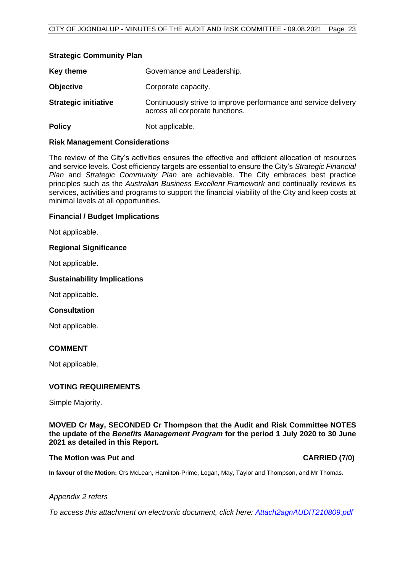#### **Strategic Community Plan**

| Key theme                   | Governance and Leadership.                                                                         |
|-----------------------------|----------------------------------------------------------------------------------------------------|
| <b>Objective</b>            | Corporate capacity.                                                                                |
| <b>Strategic initiative</b> | Continuously strive to improve performance and service delivery<br>across all corporate functions. |
| <b>Policy</b>               | Not applicable.                                                                                    |

#### **Risk Management Considerations**

The review of the City's activities ensures the effective and efficient allocation of resources and service levels. Cost efficiency targets are essential to ensure the City's *Strategic Financial Plan* and *Strategic Community Plan* are achievable. The City embraces best practice principles such as the *Australian Business Excellent Framework* and continually reviews its services, activities and programs to support the financial viability of the City and keep costs at minimal levels at all opportunities.

#### **Financial / Budget Implications**

Not applicable.

#### **Regional Significance**

Not applicable.

#### **Sustainability Implications**

Not applicable.

#### **Consultation**

Not applicable.

#### **COMMENT**

Not applicable.

#### **VOTING REQUIREMENTS**

Simple Majority.

#### **MOVED Cr May, SECONDED Cr Thompson that the Audit and Risk Committee NOTES the update of the** *Benefits Management Program* **for the period 1 July 2020 to 30 June 2021 as detailed in this Report.**

#### **The Motion was Put and CARRIED (7/0)**

**In favour of the Motion:** Crs McLean, Hamilton-Prime, Logan, May, Taylor and Thompson, and Mr Thomas.

#### *Appendix 2 refers*

*To access this attachment on electronic document, click here: [Attach2agnAUDIT210809.pdf](http://www.joondalup.wa.gov.au/files/committees/AURI/2021/Attach2agnAUDIT210809.pdf)*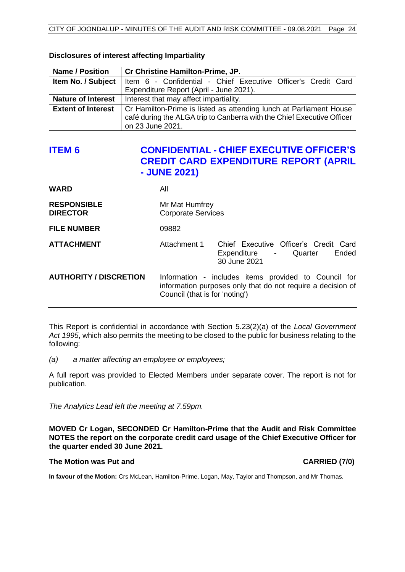| <b>Name / Position</b>    | Cr Christine Hamilton-Prime, JP.                                       |  |
|---------------------------|------------------------------------------------------------------------|--|
| Item No. / Subject        | Item 6 - Confidential - Chief Executive Officer's Credit Card          |  |
|                           | Expenditure Report (April - June 2021).                                |  |
| <b>Nature of Interest</b> | Interest that may affect impartiality.                                 |  |
| <b>Extent of Interest</b> | Cr Hamilton-Prime is listed as attending lunch at Parliament House     |  |
|                           | café during the ALGA trip to Canberra with the Chief Executive Officer |  |
|                           | on 23 June 2021.                                                       |  |

#### <span id="page-24-0"></span>**Disclosures of interest affecting Impartiality**

# **ITEM 6 CONFIDENTIAL - CHIEF EXECUTIVE OFFICER'S CREDIT CARD EXPENDITURE REPORT (APRIL - JUNE 2021)**

| WARD                                  | All                                         |                                                                                                                     |  |
|---------------------------------------|---------------------------------------------|---------------------------------------------------------------------------------------------------------------------|--|
| <b>RESPONSIBLE</b><br><b>DIRECTOR</b> | Mr Mat Humfrey<br><b>Corporate Services</b> |                                                                                                                     |  |
| <b>FILE NUMBER</b>                    | 09882                                       |                                                                                                                     |  |
| <b>ATTACHMENT</b>                     | Attachment 1                                | Chief Executive Officer's Credit Card<br>Ended<br>Expenditure - Quarter<br>30 June 2021                             |  |
| <b>AUTHORITY / DISCRETION</b>         | Council (that is for 'noting')              | Information - includes items provided to Council for<br>information purposes only that do not require a decision of |  |

This Report is confidential in accordance with Section 5.23(2)(a) of the *Local Government Act 1995*, which also permits the meeting to be closed to the public for business relating to the following:

*(a) a matter affecting an employee or employees;*

A full report was provided to Elected Members under separate cover. The report is not for publication.

*The Analytics Lead left the meeting at 7.59pm.*

**MOVED Cr Logan, SECONDED Cr Hamilton-Prime that the Audit and Risk Committee NOTES the report on the corporate credit card usage of the Chief Executive Officer for the quarter ended 30 June 2021.**

#### **The Motion was Put and CARRIED (7/0)**

**In favour of the Motion:** Crs McLean, Hamilton-Prime, Logan, May, Taylor and Thompson, and Mr Thomas.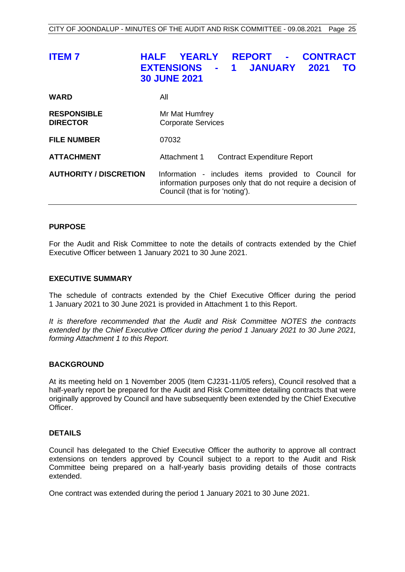<span id="page-25-0"></span>

| <b>ITEM7</b>                          | <b>REPORT -</b><br><b>YEARLY</b><br><b>CONTRACT</b><br>HALF<br><b>JANUARY</b><br><b>EXTENSIONS</b><br>2021<br>$\blacksquare$<br><b>TO</b><br>$\blacksquare$<br><b>30 JUNE 2021</b> |
|---------------------------------------|------------------------------------------------------------------------------------------------------------------------------------------------------------------------------------|
| <b>WARD</b>                           | All                                                                                                                                                                                |
| <b>RESPONSIBLE</b><br><b>DIRECTOR</b> | Mr Mat Humfrey<br><b>Corporate Services</b>                                                                                                                                        |
| <b>FILE NUMBER</b>                    | 07032                                                                                                                                                                              |
| <b>ATTACHMENT</b>                     | Attachment 1<br><b>Contract Expenditure Report</b>                                                                                                                                 |
| <b>AUTHORITY / DISCRETION</b>         | Information - includes items provided to Council for<br>information purposes only that do not require a decision of<br>Council (that is for 'noting').                             |

#### **PURPOSE**

For the Audit and Risk Committee to note the details of contracts extended by the Chief Executive Officer between 1 January 2021 to 30 June 2021.

#### **EXECUTIVE SUMMARY**

The schedule of contracts extended by the Chief Executive Officer during the period 1 January 2021 to 30 June 2021 is provided in Attachment 1 to this Report.

*It is therefore recommended that the Audit and Risk Committee NOTES the contracts extended by the Chief Executive Officer during the period 1 January 2021 to 30 June 2021, forming Attachment 1 to this Report.*

#### **BACKGROUND**

At its meeting held on 1 November 2005 (Item CJ231-11/05 refers), Council resolved that a half-yearly report be prepared for the Audit and Risk Committee detailing contracts that were originally approved by Council and have subsequently been extended by the Chief Executive Officer.

#### **DETAILS**

Council has delegated to the Chief Executive Officer the authority to approve all contract extensions on tenders approved by Council subject to a report to the Audit and Risk Committee being prepared on a half-yearly basis providing details of those contracts extended.

One contract was extended during the period 1 January 2021 to 30 June 2021.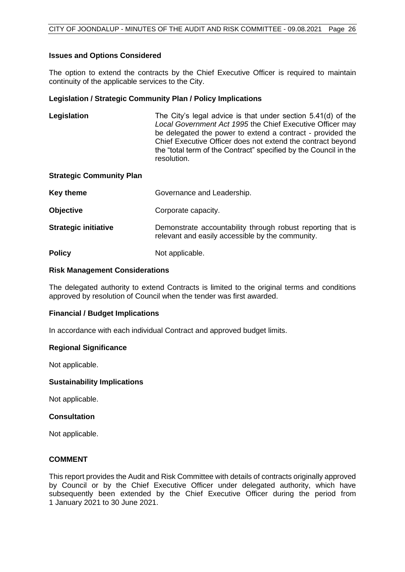#### **Issues and Options Considered**

The option to extend the contracts by the Chief Executive Officer is required to maintain continuity of the applicable services to the City.

#### **Legislation / Strategic Community Plan / Policy Implications**

**Legislation** The City's legal advice is that under section 5.41(d) of the *Local Government Act 1995* the Chief Executive Officer may be delegated the power to extend a contract - provided the Chief Executive Officer does not extend the contract beyond the "total term of the Contract" specified by the Council in the resolution.

#### **Strategic Community Plan**

| Key theme                   | Governance and Leadership.                                                                                      |
|-----------------------------|-----------------------------------------------------------------------------------------------------------------|
| <b>Objective</b>            | Corporate capacity.                                                                                             |
| <b>Strategic initiative</b> | Demonstrate accountability through robust reporting that is<br>relevant and easily accessible by the community. |
| <b>Policy</b>               | Not applicable.                                                                                                 |

#### **Risk Management Considerations**

The delegated authority to extend Contracts is limited to the original terms and conditions approved by resolution of Council when the tender was first awarded.

#### **Financial / Budget Implications**

In accordance with each individual Contract and approved budget limits.

#### **Regional Significance**

Not applicable.

#### **Sustainability Implications**

Not applicable.

#### **Consultation**

Not applicable.

#### **COMMENT**

This report provides the Audit and Risk Committee with details of contracts originally approved by Council or by the Chief Executive Officer under delegated authority, which have subsequently been extended by the Chief Executive Officer during the period from 1 January 2021 to 30 June 2021.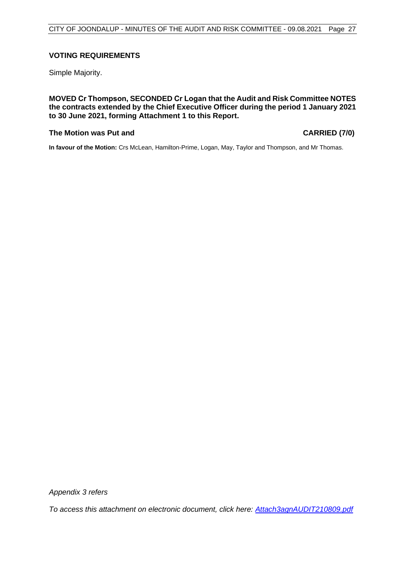#### **VOTING REQUIREMENTS**

Simple Majority.

**MOVED Cr Thompson, SECONDED Cr Logan that the Audit and Risk Committee NOTES the contracts extended by the Chief Executive Officer during the period 1 January 2021 to 30 June 2021, forming Attachment 1 to this Report.**

#### **The Motion was Put and CARRIED (7/0)**

**In favour of the Motion:** Crs McLean, Hamilton-Prime, Logan, May, Taylor and Thompson, and Mr Thomas.

*Appendix 3 refers*

*To access this attachment on electronic document, click here: [Attach3agnAUDIT210809.pdf](http://www.joondalup.wa.gov.au/files/committees/AURI/2021/Attach3agnAUDIT210809.pdf)*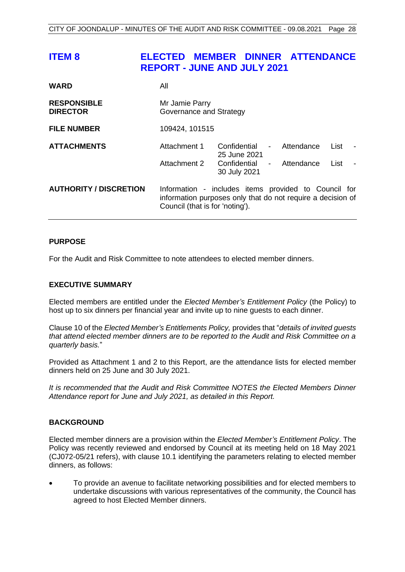# <span id="page-28-0"></span>**ITEM 8 ELECTED MEMBER DINNER ATTENDANCE REPORT - JUNE AND JULY 2021**

| <b>WARD</b>                           | All                                                                                                                                                    |                              |                |            |      |  |
|---------------------------------------|--------------------------------------------------------------------------------------------------------------------------------------------------------|------------------------------|----------------|------------|------|--|
| <b>RESPONSIBLE</b><br><b>DIRECTOR</b> | Mr Jamie Parry<br>Governance and Strategy                                                                                                              |                              |                |            |      |  |
| <b>FILE NUMBER</b>                    | 109424, 101515                                                                                                                                         |                              |                |            |      |  |
| <b>ATTACHMENTS</b>                    | Attachment 1                                                                                                                                           | Confidential<br>25 June 2021 | $\blacksquare$ | Attendance | List |  |
|                                       | Attachment 2                                                                                                                                           | Confidential<br>30 July 2021 | $\blacksquare$ | Attendance | List |  |
| <b>AUTHORITY / DISCRETION</b>         | Information - includes items provided to Council for<br>information purposes only that do not require a decision of<br>Council (that is for 'noting'). |                              |                |            |      |  |

#### **PURPOSE**

For the Audit and Risk Committee to note attendees to elected member dinners.

#### **EXECUTIVE SUMMARY**

Elected members are entitled under the *Elected Member's Entitlement Policy* (the Policy) to host up to six dinners per financial year and invite up to nine guests to each dinner.

Clause 10 of the *Elected Member's Entitlements Policy,* provides that "*details of invited guests that attend elected member dinners are to be reported to the Audit and Risk Committee on a quarterly basis.*"

Provided as Attachment 1 and 2 to this Report, are the attendance lists for elected member dinners held on 25 June and 30 July 2021.

*It is recommended that the Audit and Risk Committee NOTES the Elected Members Dinner Attendance report for June and July 2021, as detailed in this Report.*

#### **BACKGROUND**

Elected member dinners are a provision within the *Elected Member's Entitlement Policy*. The Policy was recently reviewed and endorsed by Council at its meeting held on 18 May 2021 (CJ072-05/21 refers), with clause 10.1 identifying the parameters relating to elected member dinners, as follows:

• To provide an avenue to facilitate networking possibilities and for elected members to undertake discussions with various representatives of the community, the Council has agreed to host Elected Member dinners.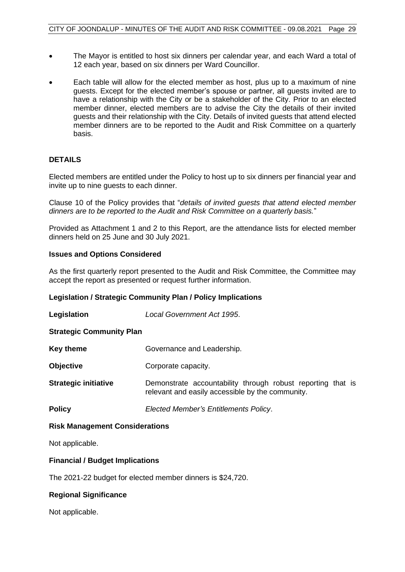- The Mayor is entitled to host six dinners per calendar year, and each Ward a total of 12 each year, based on six dinners per Ward Councillor.
- Each table will allow for the elected member as host, plus up to a maximum of nine guests. Except for the elected member's spouse or partner, all guests invited are to have a relationship with the City or be a stakeholder of the City. Prior to an elected member dinner, elected members are to advise the City the details of their invited guests and their relationship with the City. Details of invited guests that attend elected member dinners are to be reported to the Audit and Risk Committee on a quarterly basis.

## **DETAILS**

Elected members are entitled under the Policy to host up to six dinners per financial year and invite up to nine guests to each dinner.

Clause 10 of the Policy provides that "*details of invited guests that attend elected member dinners are to be reported to the Audit and Risk Committee on a quarterly basis.*"

Provided as Attachment 1 and 2 to this Report, are the attendance lists for elected member dinners held on 25 June and 30 July 2021.

#### **Issues and Options Considered**

As the first quarterly report presented to the Audit and Risk Committee, the Committee may accept the report as presented or request further information.

#### **Legislation / Strategic Community Plan / Policy Implications**

| Legislation                     | Local Government Act 1995. |  |  |  |  |
|---------------------------------|----------------------------|--|--|--|--|
| <b>Strategic Community Plan</b> |                            |  |  |  |  |

**Key theme Governance and Leadership.** 

- **Objective Corporate capacity.**
- **Strategic initiative Demonstrate accountability through robust reporting that is** relevant and easily accessible by the community.

**Policy** *Elected Member's Entitlements Policy*.

#### **Risk Management Considerations**

Not applicable.

#### **Financial / Budget Implications**

The 2021-22 budget for elected member dinners is \$24,720.

#### **Regional Significance**

Not applicable.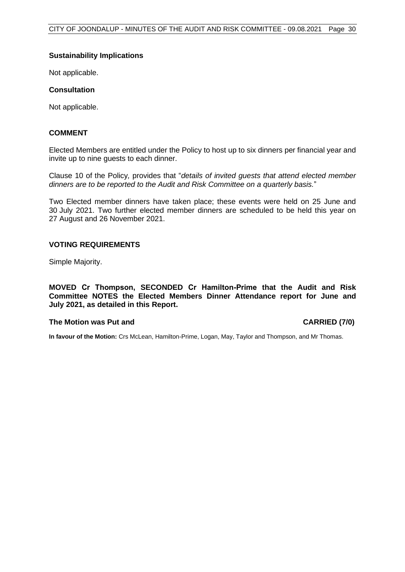#### **Sustainability Implications**

Not applicable.

#### **Consultation**

Not applicable.

#### **COMMENT**

Elected Members are entitled under the Policy to host up to six dinners per financial year and invite up to nine guests to each dinner.

Clause 10 of the Policy*,* provides that "*details of invited guests that attend elected member dinners are to be reported to the Audit and Risk Committee on a quarterly basis.*"

Two Elected member dinners have taken place; these events were held on 25 June and 30 July 2021. Two further elected member dinners are scheduled to be held this year on 27 August and 26 November 2021.

#### **VOTING REQUIREMENTS**

Simple Majority.

**MOVED Cr Thompson, SECONDED Cr Hamilton-Prime that the Audit and Risk Committee NOTES the Elected Members Dinner Attendance report for June and July 2021, as detailed in this Report.**

#### **The Motion was Put and CARRIED (7/0)**

**In favour of the Motion:** Crs McLean, Hamilton-Prime, Logan, May, Taylor and Thompson, and Mr Thomas.